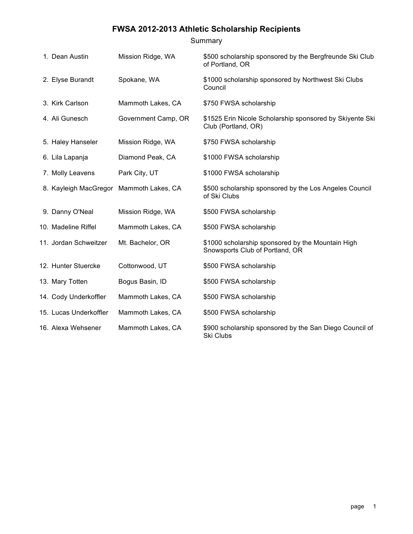# Summary

| 1. Dean Austin                          | Mission Ridge, WA   | \$500 scholarship sponsored by the Bergfreunde Ski Club                              |
|-----------------------------------------|---------------------|--------------------------------------------------------------------------------------|
|                                         |                     | of Portland, OR                                                                      |
| 2. Elyse Burandt                        | Spokane, WA         | \$1000 scholarship sponsored by Northwest Ski Clubs<br>Council                       |
| 3. Kirk Carlson                         | Mammoth Lakes, CA   | \$750 FWSA scholarship                                                               |
| 4. Ali Gunesch                          | Government Camp, OR | \$1525 Erin Nicole Scholarship sponsored by Skiyente Ski<br>Club (Portland, OR)      |
| 5. Haley Hanseler                       | Mission Ridge, WA   | \$750 FWSA scholarship                                                               |
| 6. Lila Lapanja                         | Diamond Peak, CA    | \$1000 FWSA scholarship                                                              |
| 7. Molly Leavens                        | Park City, UT       | \$1000 FWSA scholarship                                                              |
| 8. Kayleigh MacGregor Mammoth Lakes, CA |                     | \$500 scholarship sponsored by the Los Angeles Council<br>of Ski Clubs               |
| 9. Danny O'Neal                         | Mission Ridge, WA   | \$500 FWSA scholarship                                                               |
| 10. Madeline Riffel                     | Mammoth Lakes, CA   | \$500 FWSA scholarship                                                               |
| 11. Jordan Schweitzer                   | Mt. Bachelor, OR    | \$1000 scholarship sponsored by the Mountain High<br>Snowsports Club of Portland, OR |
| 12. Hunter Stuercke                     | Cottonwood, UT      | \$500 FWSA scholarship                                                               |
| 13. Mary Totten                         | Bogus Basin, ID     | \$500 FWSA scholarship                                                               |
| 14. Cody Underkoffler                   | Mammoth Lakes, CA   | \$500 FWSA scholarship                                                               |
| 15. Lucas Underkoffler                  | Mammoth Lakes, CA   | \$500 FWSA scholarship                                                               |
| 16. Alexa Wehsener                      | Mammoth Lakes, CA   | \$900 scholarship sponsored by the San Diego Council of<br>Ski Clubs                 |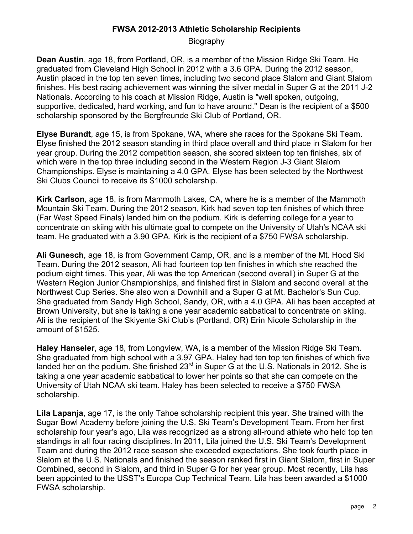Biography

**Dean Austin**, age 18, from Portland, OR, is a member of the Mission Ridge Ski Team. He graduated from Cleveland High School in 2012 with a 3.6 GPA. During the 2012 season, Austin placed in the top ten seven times, including two second place Slalom and Giant Slalom finishes. His best racing achievement was winning the silver medal in Super G at the 2011 J-2 Nationals. According to his coach at Mission Ridge, Austin is "well spoken, outgoing, supportive, dedicated, hard working, and fun to have around." Dean is the recipient of a \$500 scholarship sponsored by the Bergfreunde Ski Club of Portland, OR.

**Elyse Burandt**, age 15, is from Spokane, WA, where she races for the Spokane Ski Team. Elyse finished the 2012 season standing in third place overall and third place in Slalom for her year group. During the 2012 competition season, she scored sixteen top ten finishes, six of which were in the top three including second in the Western Region J-3 Giant Slalom Championships. Elyse is maintaining a 4.0 GPA. Elyse has been selected by the Northwest Ski Clubs Council to receive its \$1000 scholarship.

**Kirk Carlson**, age 18, is from Mammoth Lakes, CA, where he is a member of the Mammoth Mountain Ski Team. During the 2012 season, Kirk had seven top ten finishes of which three (Far West Speed Finals) landed him on the podium. Kirk is deferring college for a year to concentrate on skiing with his ultimate goal to compete on the University of Utah's NCAA ski team. He graduated with a 3.90 GPA. Kirk is the recipient of a \$750 FWSA scholarship.

**Ali Gunesch**, age 18, is from Government Camp, OR, and is a member of the Mt. Hood Ski Team. During the 2012 season, Ali had fourteen top ten finishes in which she reached the podium eight times. This year, Ali was the top American (second overall) in Super G at the Western Region Junior Championships, and finished first in Slalom and second overall at the Northwest Cup Series. She also won a Downhill and a Super G at Mt. Bachelor's Sun Cup. She graduated from Sandy High School, Sandy, OR, with a 4.0 GPA. Ali has been accepted at Brown University, but she is taking a one year academic sabbatical to concentrate on skiing. Ali is the recipient of the Skiyente Ski Club's (Portland, OR) Erin Nicole Scholarship in the amount of \$1525.

**Haley Hanseler**, age 18, from Longview, WA, is a member of the Mission Ridge Ski Team. She graduated from high school with a 3.97 GPA. Haley had ten top ten finishes of which five landed her on the podium. She finished  $23<sup>rd</sup>$  in Super G at the U.S. Nationals in 2012. She is taking a one year academic sabbatical to lower her points so that she can compete on the University of Utah NCAA ski team. Haley has been selected to receive a \$750 FWSA scholarship.

**Lila Lapanja**, age 17, is the only Tahoe scholarship recipient this year. She trained with the Sugar Bowl Academy before joining the U.S. Ski Team's Development Team. From her first scholarship four year's ago, Lila was recognized as a strong all-round athlete who held top ten standings in all four racing disciplines. In 2011, Lila joined the U.S. Ski Team's Development Team and during the 2012 race season she exceeded expectations. She took fourth place in Slalom at the U.S. Nationals and finished the season ranked first in Giant Slalom, first in Super Combined, second in Slalom, and third in Super G for her year group. Most recently, Lila has been appointed to the USST's Europa Cup Technical Team. Lila has been awarded a \$1000 FWSA scholarship.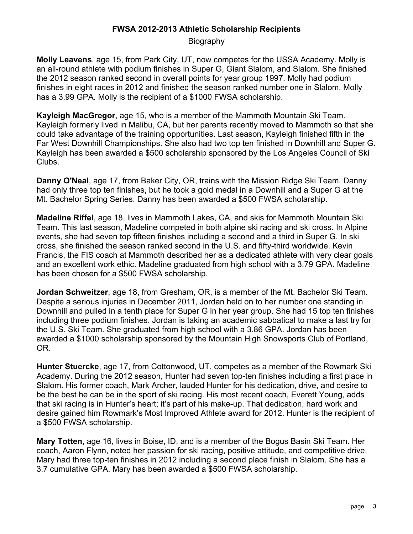Biography

**Molly Leavens**, age 15, from Park City, UT, now competes for the USSA Academy. Molly is an all-round athlete with podium finishes in Super G, Giant Slalom, and Slalom. She finished the 2012 season ranked second in overall points for year group 1997. Molly had podium finishes in eight races in 2012 and finished the season ranked number one in Slalom. Molly has a 3.99 GPA. Molly is the recipient of a \$1000 FWSA scholarship.

**Kayleigh MacGregor**, age 15, who is a member of the Mammoth Mountain Ski Team. Kayleigh formerly lived in Malibu, CA, but her parents recently moved to Mammoth so that she could take advantage of the training opportunities. Last season, Kayleigh finished fifth in the Far West Downhill Championships. She also had two top ten finished in Downhill and Super G. Kayleigh has been awarded a \$500 scholarship sponsored by the Los Angeles Council of Ski Clubs.

**Danny O'Neal**, age 17, from Baker City, OR, trains with the Mission Ridge Ski Team. Danny had only three top ten finishes, but he took a gold medal in a Downhill and a Super G at the Mt. Bachelor Spring Series. Danny has been awarded a \$500 FWSA scholarship.

**Madeline Riffel**, age 18, lives in Mammoth Lakes, CA, and skis for Mammoth Mountain Ski Team. This last season, Madeline competed in both alpine ski racing and ski cross. In Alpine events, she had seven top fifteen finishes including a second and a third in Super G. In ski cross, she finished the season ranked second in the U.S. and fifty-third worldwide. Kevin Francis, the FIS coach at Mammoth described her as a dedicated athlete with very clear goals and an excellent work ethic. Madeline graduated from high school with a 3.79 GPA. Madeline has been chosen for a \$500 FWSA scholarship.

**Jordan Schweitzer**, age 18, from Gresham, OR, is a member of the Mt. Bachelor Ski Team. Despite a serious injuries in December 2011, Jordan held on to her number one standing in Downhill and pulled in a tenth place for Super G in her year group. She had 15 top ten finishes including three podium finishes. Jordan is taking an academic sabbatical to make a last try for the U.S. Ski Team. She graduated from high school with a 3.86 GPA. Jordan has been awarded a \$1000 scholarship sponsored by the Mountain High Snowsports Club of Portland, OR.

**Hunter Stuercke**, age 17, from Cottonwood, UT, competes as a member of the Rowmark Ski Academy. During the 2012 season, Hunter had seven top-ten finishes including a first place in Slalom. His former coach, Mark Archer, lauded Hunter for his dedication, drive, and desire to be the best he can be in the sport of ski racing. His most recent coach, Everett Young, adds that ski racing is in Hunter's heart; it's part of his make-up. That dedication, hard work and desire gained him Rowmark's Most Improved Athlete award for 2012. Hunter is the recipient of a \$500 FWSA scholarship.

**Mary Totten**, age 16, lives in Boise, ID, and is a member of the Bogus Basin Ski Team. Her coach, Aaron Flynn, noted her passion for ski racing, positive attitude, and competitive drive. Mary had three top-ten finishes in 2012 including a second place finish in Slalom. She has a 3.7 cumulative GPA. Mary has been awarded a \$500 FWSA scholarship.